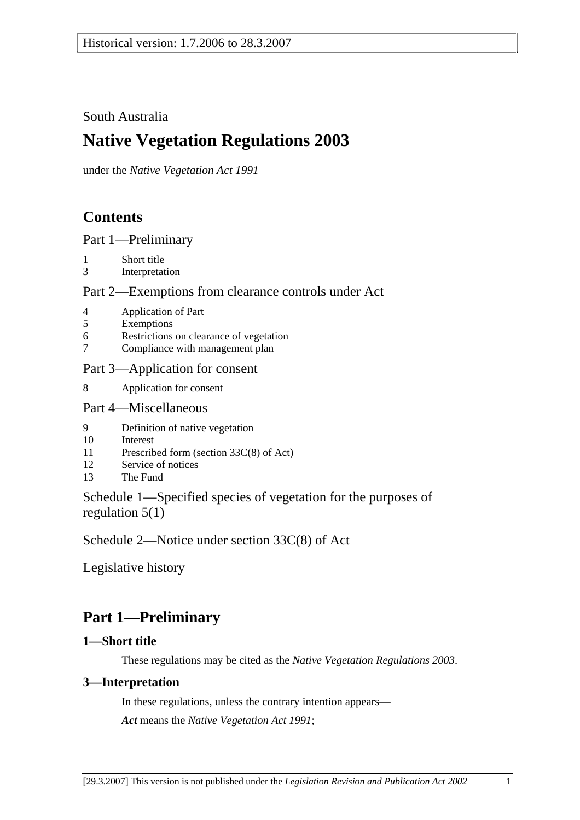## South Australia

# **Native Vegetation Regulations 2003**

under the *Native Vegetation Act 1991*

# **Contents**

Part 1—Preliminary

- 1 Short title
- 3 Interpretation

### Part 2—Exemptions from clearance controls under Act

- 4 Application of Part
- 5 Exemptions
- 6 Restrictions on clearance of vegetation
- 7 Compliance with management plan

### Part 3—Application for consent

8 Application for consent

### Part 4—Miscellaneous

- 9 Definition of native vegetation
- 10 Interest
- 11 Prescribed form (section 33C(8) of Act)
- 12 Service of notices
- 13 The Fund

Schedule 1—Specified species of vegetation for the purposes of regulation 5(1)

Schedule 2—Notice under section 33C(8) of Act

Legislative history

# **Part 1—Preliminary**

### **1—Short title**

These regulations may be cited as the *Native Vegetation Regulations 2003*.

### **3—Interpretation**

In these regulations, unless the contrary intention appears— *Act* means the *Native Vegetation Act 1991*;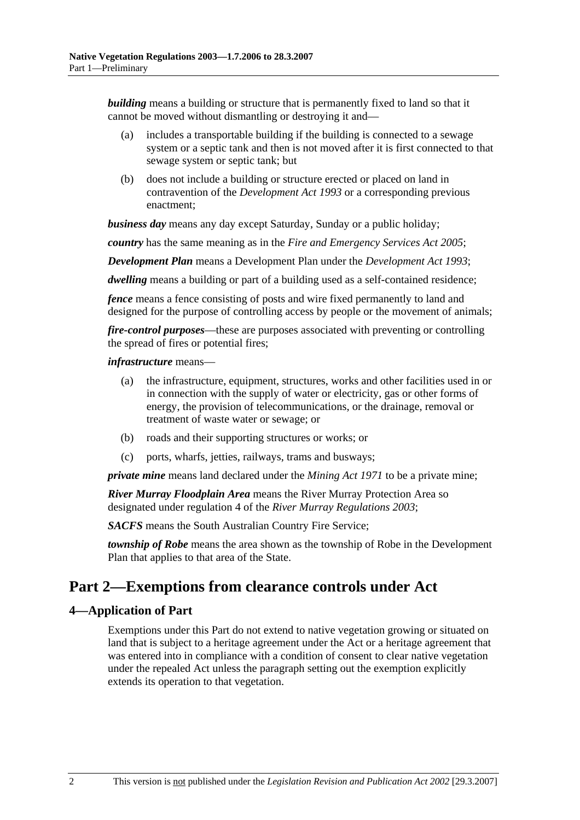*building* means a building or structure that is permanently fixed to land so that it cannot be moved without dismantling or destroying it and—

- (a) includes a transportable building if the building is connected to a sewage system or a septic tank and then is not moved after it is first connected to that sewage system or septic tank; but
- (b) does not include a building or structure erected or placed on land in contravention of the *Development Act 1993* or a corresponding previous enactment;

*business day* means any day except Saturday, Sunday or a public holiday;

*country* has the same meaning as in the *Fire and Emergency Services Act 2005*;

*Development Plan* means a Development Plan under the *Development Act 1993*;

*dwelling* means a building or part of a building used as a self-contained residence;

*fence* means a fence consisting of posts and wire fixed permanently to land and designed for the purpose of controlling access by people or the movement of animals;

*fire-control purposes*—these are purposes associated with preventing or controlling the spread of fires or potential fires;

#### *infrastructure* means—

- (a) the infrastructure, equipment, structures, works and other facilities used in or in connection with the supply of water or electricity, gas or other forms of energy, the provision of telecommunications, or the drainage, removal or treatment of waste water or sewage; or
- (b) roads and their supporting structures or works; or
- (c) ports, wharfs, jetties, railways, trams and busways;

*private mine* means land declared under the *Mining Act 1971* to be a private mine;

*River Murray Floodplain Area* means the River Murray Protection Area so designated under regulation 4 of the *River Murray Regulations 2003*;

*SACFS* means the South Australian Country Fire Service;

*township of Robe* means the area shown as the township of Robe in the Development Plan that applies to that area of the State.

## **Part 2—Exemptions from clearance controls under Act**

### **4—Application of Part**

Exemptions under this Part do not extend to native vegetation growing or situated on land that is subject to a heritage agreement under the Act or a heritage agreement that was entered into in compliance with a condition of consent to clear native vegetation under the repealed Act unless the paragraph setting out the exemption explicitly extends its operation to that vegetation.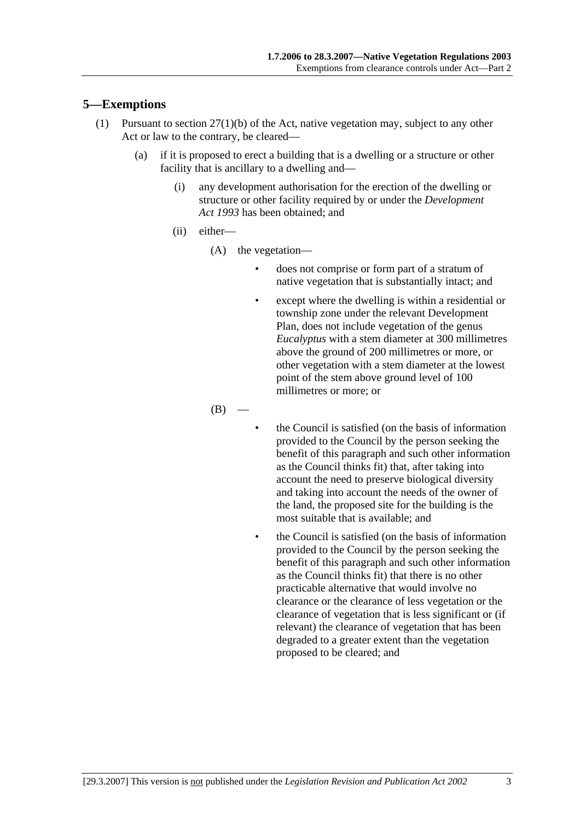### **5—Exemptions**

- (1) Pursuant to section 27(1)(b) of the Act, native vegetation may, subject to any other Act or law to the contrary, be cleared—
	- (a) if it is proposed to erect a building that is a dwelling or a structure or other facility that is ancillary to a dwelling and—
		- (i) any development authorisation for the erection of the dwelling or structure or other facility required by or under the *Development Act 1993* has been obtained; and
		- (ii) either—
			- (A) the vegetation—
				- does not comprise or form part of a stratum of native vegetation that is substantially intact; and
				- except where the dwelling is within a residential or township zone under the relevant Development Plan, does not include vegetation of the genus *Eucalyptus* with a stem diameter at 300 millimetres above the ground of 200 millimetres or more, or other vegetation with a stem diameter at the lowest point of the stem above ground level of 100 millimetres or more; or

 $(B)$ 

- the Council is satisfied (on the basis of information provided to the Council by the person seeking the benefit of this paragraph and such other information as the Council thinks fit) that, after taking into account the need to preserve biological diversity and taking into account the needs of the owner of the land, the proposed site for the building is the most suitable that is available; and
- the Council is satisfied (on the basis of information provided to the Council by the person seeking the benefit of this paragraph and such other information as the Council thinks fit) that there is no other practicable alternative that would involve no clearance or the clearance of less vegetation or the clearance of vegetation that is less significant or (if relevant) the clearance of vegetation that has been degraded to a greater extent than the vegetation proposed to be cleared; and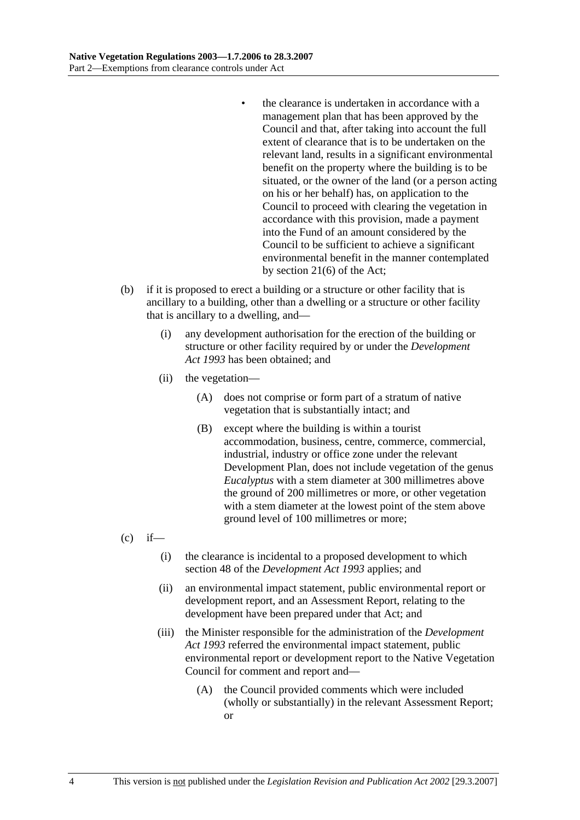- the clearance is undertaken in accordance with a management plan that has been approved by the Council and that, after taking into account the full extent of clearance that is to be undertaken on the relevant land, results in a significant environmental benefit on the property where the building is to be situated, or the owner of the land (or a person acting on his or her behalf) has, on application to the Council to proceed with clearing the vegetation in accordance with this provision, made a payment into the Fund of an amount considered by the Council to be sufficient to achieve a significant environmental benefit in the manner contemplated by section 21(6) of the Act;
- (b) if it is proposed to erect a building or a structure or other facility that is ancillary to a building, other than a dwelling or a structure or other facility that is ancillary to a dwelling, and—
	- (i) any development authorisation for the erection of the building or structure or other facility required by or under the *Development Act 1993* has been obtained; and
	- (ii) the vegetation—
		- (A) does not comprise or form part of a stratum of native vegetation that is substantially intact; and
		- (B) except where the building is within a tourist accommodation, business, centre, commerce, commercial, industrial, industry or office zone under the relevant Development Plan, does not include vegetation of the genus *Eucalyptus* with a stem diameter at 300 millimetres above the ground of 200 millimetres or more, or other vegetation with a stem diameter at the lowest point of the stem above ground level of 100 millimetres or more;
- $(c)$  if—
	- (i) the clearance is incidental to a proposed development to which section 48 of the *Development Act 1993* applies; and
	- (ii) an environmental impact statement, public environmental report or development report, and an Assessment Report, relating to the development have been prepared under that Act; and
	- (iii) the Minister responsible for the administration of the *Development Act 1993* referred the environmental impact statement, public environmental report or development report to the Native Vegetation Council for comment and report and—
		- (A) the Council provided comments which were included (wholly or substantially) in the relevant Assessment Report; or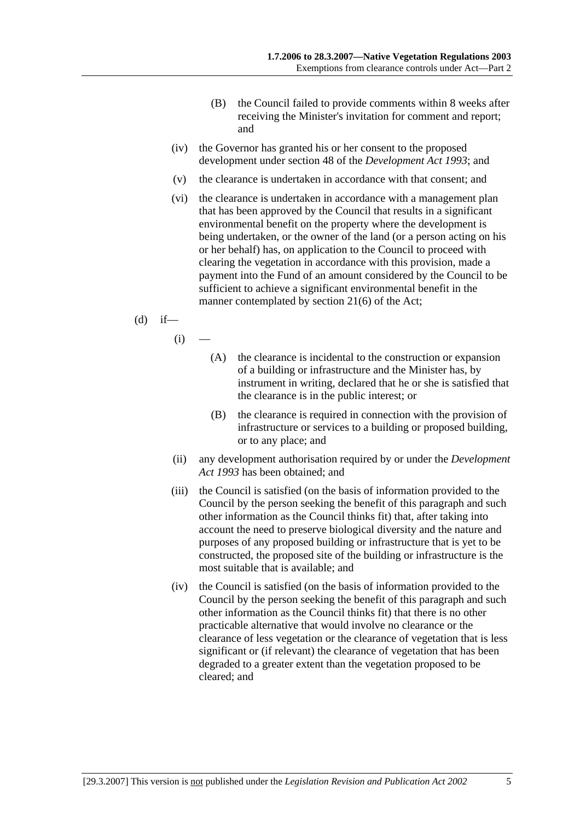- (B) the Council failed to provide comments within 8 weeks after receiving the Minister's invitation for comment and report; and
- (iv) the Governor has granted his or her consent to the proposed development under section 48 of the *Development Act 1993*; and
- (v) the clearance is undertaken in accordance with that consent; and
- (vi) the clearance is undertaken in accordance with a management plan that has been approved by the Council that results in a significant environmental benefit on the property where the development is being undertaken, or the owner of the land (or a person acting on his or her behalf) has, on application to the Council to proceed with clearing the vegetation in accordance with this provision, made a payment into the Fund of an amount considered by the Council to be sufficient to achieve a significant environmental benefit in the manner contemplated by section 21(6) of the Act;
- $(d)$  if—
	- $(i)$
- (A) the clearance is incidental to the construction or expansion of a building or infrastructure and the Minister has, by instrument in writing, declared that he or she is satisfied that the clearance is in the public interest; or
- (B) the clearance is required in connection with the provision of infrastructure or services to a building or proposed building, or to any place; and
- (ii) any development authorisation required by or under the *Development Act 1993* has been obtained; and
- (iii) the Council is satisfied (on the basis of information provided to the Council by the person seeking the benefit of this paragraph and such other information as the Council thinks fit) that, after taking into account the need to preserve biological diversity and the nature and purposes of any proposed building or infrastructure that is yet to be constructed, the proposed site of the building or infrastructure is the most suitable that is available; and
- (iv) the Council is satisfied (on the basis of information provided to the Council by the person seeking the benefit of this paragraph and such other information as the Council thinks fit) that there is no other practicable alternative that would involve no clearance or the clearance of less vegetation or the clearance of vegetation that is less significant or (if relevant) the clearance of vegetation that has been degraded to a greater extent than the vegetation proposed to be cleared; and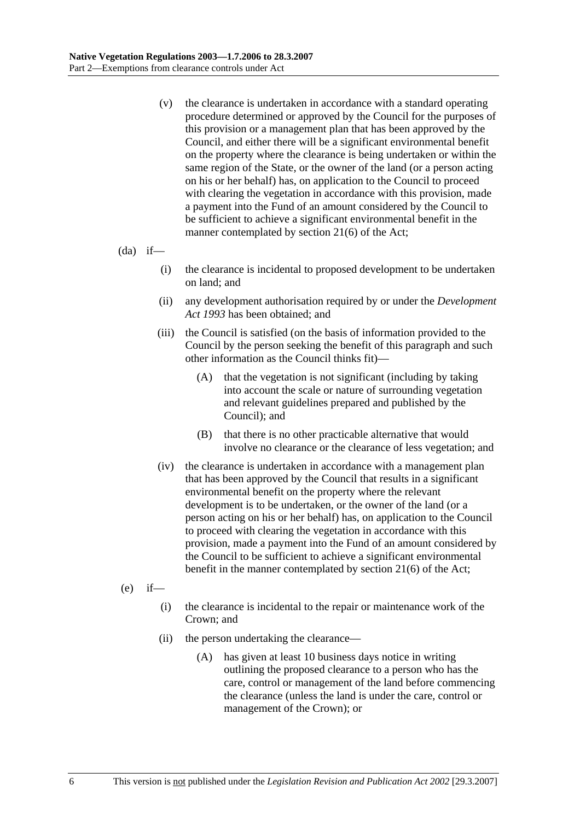(v) the clearance is undertaken in accordance with a standard operating procedure determined or approved by the Council for the purposes of this provision or a management plan that has been approved by the Council, and either there will be a significant environmental benefit on the property where the clearance is being undertaken or within the same region of the State, or the owner of the land (or a person acting on his or her behalf) has, on application to the Council to proceed with clearing the vegetation in accordance with this provision, made a payment into the Fund of an amount considered by the Council to be sufficient to achieve a significant environmental benefit in the manner contemplated by section 21(6) of the Act;

 $(da)$  if—

- (i) the clearance is incidental to proposed development to be undertaken on land; and
- (ii) any development authorisation required by or under the *Development Act 1993* has been obtained; and
- (iii) the Council is satisfied (on the basis of information provided to the Council by the person seeking the benefit of this paragraph and such other information as the Council thinks fit)—
	- (A) that the vegetation is not significant (including by taking into account the scale or nature of surrounding vegetation and relevant guidelines prepared and published by the Council); and
	- (B) that there is no other practicable alternative that would involve no clearance or the clearance of less vegetation; and
- (iv) the clearance is undertaken in accordance with a management plan that has been approved by the Council that results in a significant environmental benefit on the property where the relevant development is to be undertaken, or the owner of the land (or a person acting on his or her behalf) has, on application to the Council to proceed with clearing the vegetation in accordance with this provision, made a payment into the Fund of an amount considered by the Council to be sufficient to achieve a significant environmental benefit in the manner contemplated by section 21(6) of the Act;
- $(e)$  if—
	- (i) the clearance is incidental to the repair or maintenance work of the Crown; and
	- (ii) the person undertaking the clearance—
		- (A) has given at least 10 business days notice in writing outlining the proposed clearance to a person who has the care, control or management of the land before commencing the clearance (unless the land is under the care, control or management of the Crown); or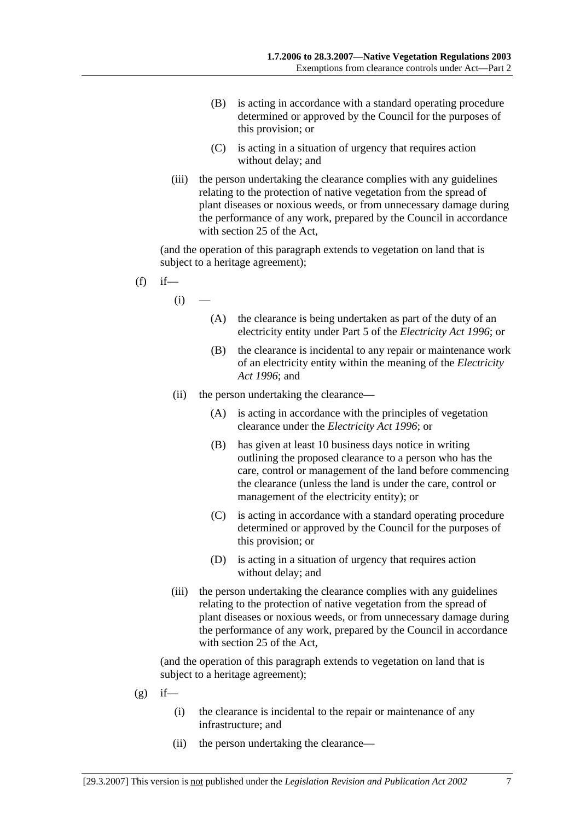- (B) is acting in accordance with a standard operating procedure determined or approved by the Council for the purposes of this provision; or
- (C) is acting in a situation of urgency that requires action without delay; and
- (iii) the person undertaking the clearance complies with any guidelines relating to the protection of native vegetation from the spread of plant diseases or noxious weeds, or from unnecessary damage during the performance of any work, prepared by the Council in accordance with section 25 of the Act,

(and the operation of this paragraph extends to vegetation on land that is subject to a heritage agreement);

- $(f)$  if—
	- $(i)$
- (A) the clearance is being undertaken as part of the duty of an electricity entity under Part 5 of the *Electricity Act 1996*; or
- (B) the clearance is incidental to any repair or maintenance work of an electricity entity within the meaning of the *Electricity Act 1996*; and
- (ii) the person undertaking the clearance—
	- (A) is acting in accordance with the principles of vegetation clearance under the *Electricity Act 1996*; or
	- (B) has given at least 10 business days notice in writing outlining the proposed clearance to a person who has the care, control or management of the land before commencing the clearance (unless the land is under the care, control or management of the electricity entity); or
	- (C) is acting in accordance with a standard operating procedure determined or approved by the Council for the purposes of this provision; or
	- (D) is acting in a situation of urgency that requires action without delay; and
- (iii) the person undertaking the clearance complies with any guidelines relating to the protection of native vegetation from the spread of plant diseases or noxious weeds, or from unnecessary damage during the performance of any work, prepared by the Council in accordance with section 25 of the Act,

- $(g)$  if—
	- (i) the clearance is incidental to the repair or maintenance of any infrastructure; and
	- (ii) the person undertaking the clearance—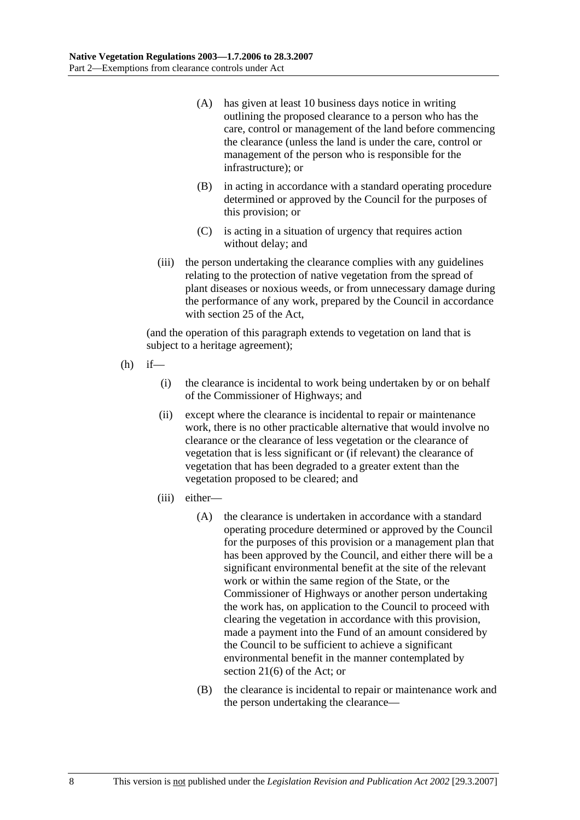- (A) has given at least 10 business days notice in writing outlining the proposed clearance to a person who has the care, control or management of the land before commencing the clearance (unless the land is under the care, control or management of the person who is responsible for the infrastructure); or
- (B) in acting in accordance with a standard operating procedure determined or approved by the Council for the purposes of this provision; or
- (C) is acting in a situation of urgency that requires action without delay; and
- (iii) the person undertaking the clearance complies with any guidelines relating to the protection of native vegetation from the spread of plant diseases or noxious weeds, or from unnecessary damage during the performance of any work, prepared by the Council in accordance with section 25 of the Act,

- $(h)$  if—
	- (i) the clearance is incidental to work being undertaken by or on behalf of the Commissioner of Highways; and
	- (ii) except where the clearance is incidental to repair or maintenance work, there is no other practicable alternative that would involve no clearance or the clearance of less vegetation or the clearance of vegetation that is less significant or (if relevant) the clearance of vegetation that has been degraded to a greater extent than the vegetation proposed to be cleared; and
	- (iii) either—
		- (A) the clearance is undertaken in accordance with a standard operating procedure determined or approved by the Council for the purposes of this provision or a management plan that has been approved by the Council, and either there will be a significant environmental benefit at the site of the relevant work or within the same region of the State, or the Commissioner of Highways or another person undertaking the work has, on application to the Council to proceed with clearing the vegetation in accordance with this provision, made a payment into the Fund of an amount considered by the Council to be sufficient to achieve a significant environmental benefit in the manner contemplated by section 21(6) of the Act; or
		- (B) the clearance is incidental to repair or maintenance work and the person undertaking the clearance—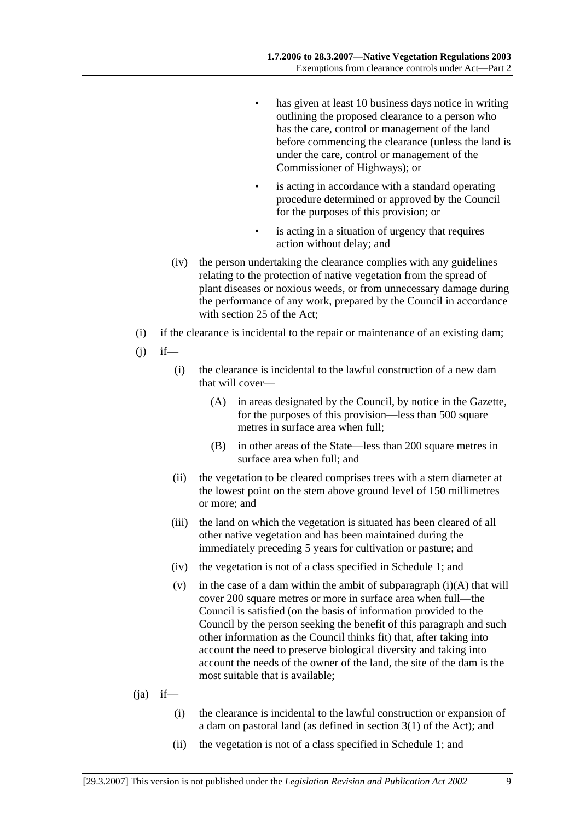- has given at least 10 business days notice in writing outlining the proposed clearance to a person who has the care, control or management of the land before commencing the clearance (unless the land is under the care, control or management of the Commissioner of Highways); or
- is acting in accordance with a standard operating procedure determined or approved by the Council for the purposes of this provision; or
- is acting in a situation of urgency that requires action without delay; and
- (iv) the person undertaking the clearance complies with any guidelines relating to the protection of native vegetation from the spread of plant diseases or noxious weeds, or from unnecessary damage during the performance of any work, prepared by the Council in accordance with section 25 of the Act;
- (i) if the clearance is incidental to the repair or maintenance of an existing dam;
- $(i)$  if—
	- (i) the clearance is incidental to the lawful construction of a new dam that will cover—
		- (A) in areas designated by the Council, by notice in the Gazette, for the purposes of this provision—less than 500 square metres in surface area when full;
		- (B) in other areas of the State—less than 200 square metres in surface area when full; and
	- (ii) the vegetation to be cleared comprises trees with a stem diameter at the lowest point on the stem above ground level of 150 millimetres or more; and
	- (iii) the land on which the vegetation is situated has been cleared of all other native vegetation and has been maintained during the immediately preceding 5 years for cultivation or pasture; and
	- (iv) the vegetation is not of a class specified in Schedule 1; and
	- (v) in the case of a dam within the ambit of subparagraph  $(i)(A)$  that will cover 200 square metres or more in surface area when full—the Council is satisfied (on the basis of information provided to the Council by the person seeking the benefit of this paragraph and such other information as the Council thinks fit) that, after taking into account the need to preserve biological diversity and taking into account the needs of the owner of the land, the site of the dam is the most suitable that is available;
- $(ia)$  if—
	- (i) the clearance is incidental to the lawful construction or expansion of a dam on pastoral land (as defined in section 3(1) of the Act); and
	- (ii) the vegetation is not of a class specified in Schedule 1; and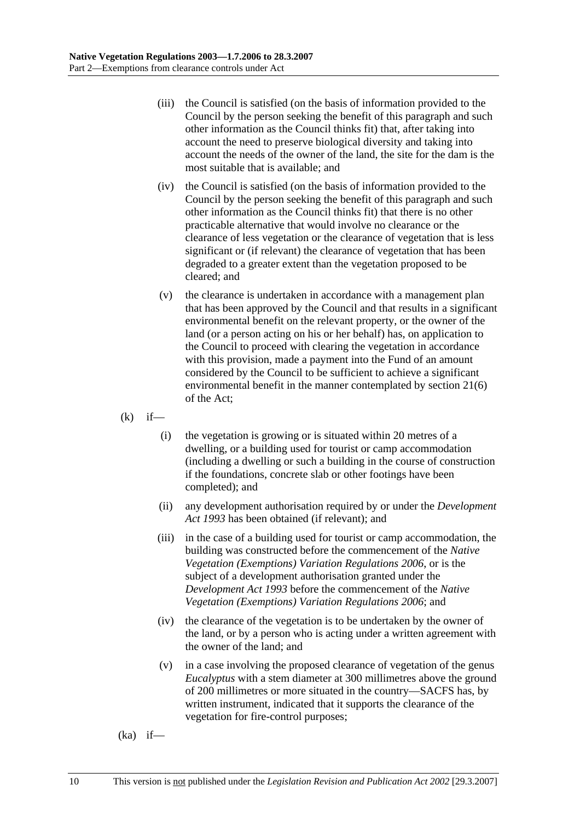- (iii) the Council is satisfied (on the basis of information provided to the Council by the person seeking the benefit of this paragraph and such other information as the Council thinks fit) that, after taking into account the need to preserve biological diversity and taking into account the needs of the owner of the land, the site for the dam is the most suitable that is available; and
- (iv) the Council is satisfied (on the basis of information provided to the Council by the person seeking the benefit of this paragraph and such other information as the Council thinks fit) that there is no other practicable alternative that would involve no clearance or the clearance of less vegetation or the clearance of vegetation that is less significant or (if relevant) the clearance of vegetation that has been degraded to a greater extent than the vegetation proposed to be cleared; and
- (v) the clearance is undertaken in accordance with a management plan that has been approved by the Council and that results in a significant environmental benefit on the relevant property, or the owner of the land (or a person acting on his or her behalf) has, on application to the Council to proceed with clearing the vegetation in accordance with this provision, made a payment into the Fund of an amount considered by the Council to be sufficient to achieve a significant environmental benefit in the manner contemplated by section 21(6) of the Act;
- $(k)$  if—
	- (i) the vegetation is growing or is situated within 20 metres of a dwelling, or a building used for tourist or camp accommodation (including a dwelling or such a building in the course of construction if the foundations, concrete slab or other footings have been completed); and
	- (ii) any development authorisation required by or under the *Development Act 1993* has been obtained (if relevant); and
	- (iii) in the case of a building used for tourist or camp accommodation, the building was constructed before the commencement of the *Native Vegetation (Exemptions) Variation Regulations 2006*, or is the subject of a development authorisation granted under the *Development Act 1993* before the commencement of the *Native Vegetation (Exemptions) Variation Regulations 2006*; and
	- (iv) the clearance of the vegetation is to be undertaken by the owner of the land, or by a person who is acting under a written agreement with the owner of the land; and
	- (v) in a case involving the proposed clearance of vegetation of the genus *Eucalyptus* with a stem diameter at 300 millimetres above the ground of 200 millimetres or more situated in the country—SACFS has, by written instrument, indicated that it supports the clearance of the vegetation for fire-control purposes;

 $(ka)$  if—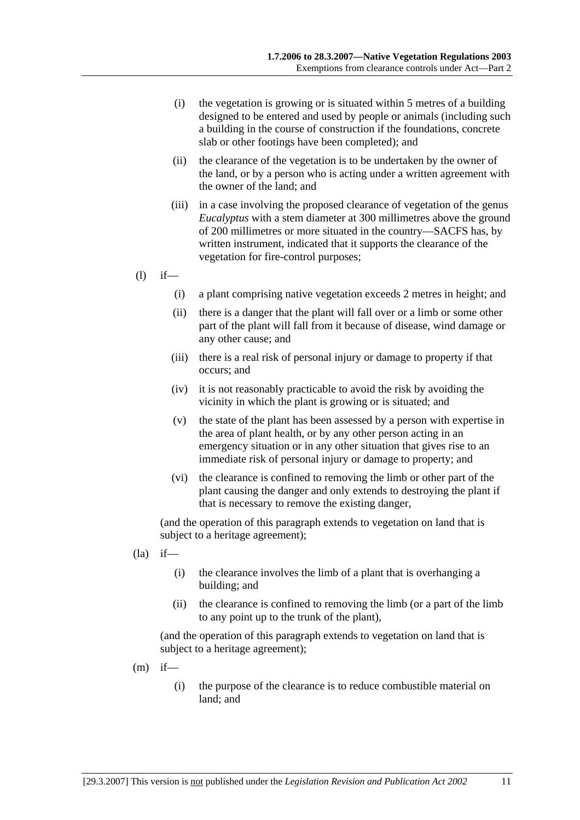- (i) the vegetation is growing or is situated within 5 metres of a building designed to be entered and used by people or animals (including such a building in the course of construction if the foundations, concrete slab or other footings have been completed); and
- (ii) the clearance of the vegetation is to be undertaken by the owner of the land, or by a person who is acting under a written agreement with the owner of the land; and
- (iii) in a case involving the proposed clearance of vegetation of the genus *Eucalyptus* with a stem diameter at 300 millimetres above the ground of 200 millimetres or more situated in the country—SACFS has, by written instrument, indicated that it supports the clearance of the vegetation for fire-control purposes;
- $(l)$  if—
	- (i) a plant comprising native vegetation exceeds 2 metres in height; and
	- (ii) there is a danger that the plant will fall over or a limb or some other part of the plant will fall from it because of disease, wind damage or any other cause; and
	- (iii) there is a real risk of personal injury or damage to property if that occurs; and
	- (iv) it is not reasonably practicable to avoid the risk by avoiding the vicinity in which the plant is growing or is situated; and
	- (v) the state of the plant has been assessed by a person with expertise in the area of plant health, or by any other person acting in an emergency situation or in any other situation that gives rise to an immediate risk of personal injury or damage to property; and
	- (vi) the clearance is confined to removing the limb or other part of the plant causing the danger and only extends to destroying the plant if that is necessary to remove the existing danger,

(and the operation of this paragraph extends to vegetation on land that is subject to a heritage agreement);

- $(la)$  if—
	- (i) the clearance involves the limb of a plant that is overhanging a building; and
	- (ii) the clearance is confined to removing the limb (or a part of the limb to any point up to the trunk of the plant),

- $(m)$  if—
	- (i) the purpose of the clearance is to reduce combustible material on land; and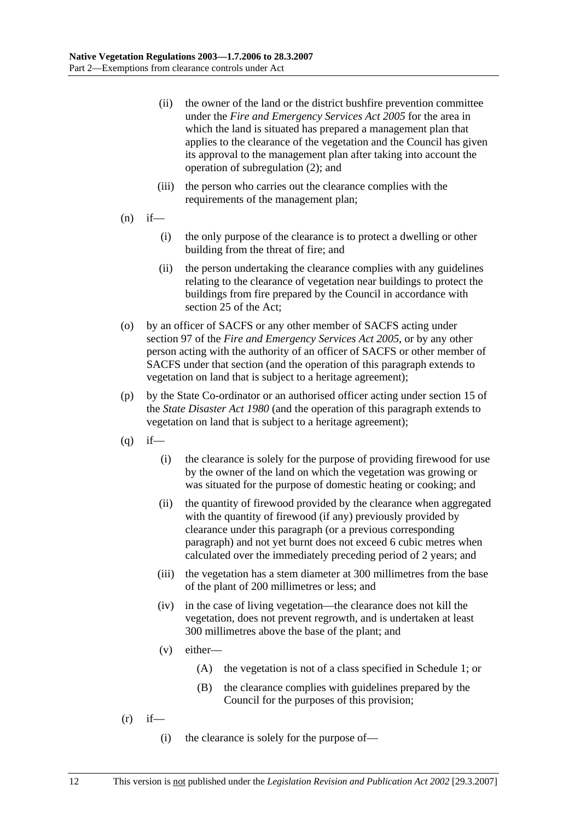- (ii) the owner of the land or the district bushfire prevention committee under the *Fire and Emergency Services Act 2005* for the area in which the land is situated has prepared a management plan that applies to the clearance of the vegetation and the Council has given its approval to the management plan after taking into account the operation of subregulation (2); and
- (iii) the person who carries out the clearance complies with the requirements of the management plan;
- $(n)$  if—
	- (i) the only purpose of the clearance is to protect a dwelling or other building from the threat of fire; and
	- (ii) the person undertaking the clearance complies with any guidelines relating to the clearance of vegetation near buildings to protect the buildings from fire prepared by the Council in accordance with section 25 of the Act;
- (o) by an officer of SACFS or any other member of SACFS acting under section 97 of the *Fire and Emergency Services Act 2005*, or by any other person acting with the authority of an officer of SACFS or other member of SACFS under that section (and the operation of this paragraph extends to vegetation on land that is subject to a heritage agreement);
- (p) by the State Co-ordinator or an authorised officer acting under section 15 of the *State Disaster Act 1980* (and the operation of this paragraph extends to vegetation on land that is subject to a heritage agreement);
- $(q)$  if—
	- (i) the clearance is solely for the purpose of providing firewood for use by the owner of the land on which the vegetation was growing or was situated for the purpose of domestic heating or cooking; and
	- (ii) the quantity of firewood provided by the clearance when aggregated with the quantity of firewood (if any) previously provided by clearance under this paragraph (or a previous corresponding paragraph) and not yet burnt does not exceed 6 cubic metres when calculated over the immediately preceding period of 2 years; and
	- (iii) the vegetation has a stem diameter at 300 millimetres from the base of the plant of 200 millimetres or less; and
	- (iv) in the case of living vegetation—the clearance does not kill the vegetation, does not prevent regrowth, and is undertaken at least 300 millimetres above the base of the plant; and
	- (v) either—
		- (A) the vegetation is not of a class specified in Schedule 1; or
		- (B) the clearance complies with guidelines prepared by the Council for the purposes of this provision;
- $(r)$  if—
	- (i) the clearance is solely for the purpose of—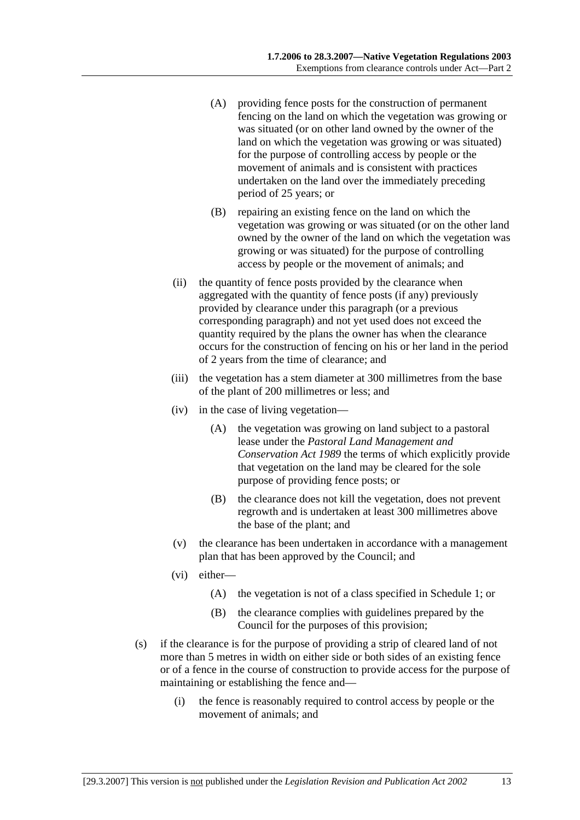- (A) providing fence posts for the construction of permanent fencing on the land on which the vegetation was growing or was situated (or on other land owned by the owner of the land on which the vegetation was growing or was situated) for the purpose of controlling access by people or the movement of animals and is consistent with practices undertaken on the land over the immediately preceding period of 25 years; or
- (B) repairing an existing fence on the land on which the vegetation was growing or was situated (or on the other land owned by the owner of the land on which the vegetation was growing or was situated) for the purpose of controlling access by people or the movement of animals; and
- (ii) the quantity of fence posts provided by the clearance when aggregated with the quantity of fence posts (if any) previously provided by clearance under this paragraph (or a previous corresponding paragraph) and not yet used does not exceed the quantity required by the plans the owner has when the clearance occurs for the construction of fencing on his or her land in the period of 2 years from the time of clearance; and
- (iii) the vegetation has a stem diameter at 300 millimetres from the base of the plant of 200 millimetres or less; and
- (iv) in the case of living vegetation—
	- (A) the vegetation was growing on land subject to a pastoral lease under the *Pastoral Land Management and Conservation Act 1989* the terms of which explicitly provide that vegetation on the land may be cleared for the sole purpose of providing fence posts; or
	- (B) the clearance does not kill the vegetation, does not prevent regrowth and is undertaken at least 300 millimetres above the base of the plant; and
- (v) the clearance has been undertaken in accordance with a management plan that has been approved by the Council; and
- (vi) either—
	- (A) the vegetation is not of a class specified in Schedule 1; or
	- (B) the clearance complies with guidelines prepared by the Council for the purposes of this provision;
- (s) if the clearance is for the purpose of providing a strip of cleared land of not more than 5 metres in width on either side or both sides of an existing fence or of a fence in the course of construction to provide access for the purpose of maintaining or establishing the fence and—
	- (i) the fence is reasonably required to control access by people or the movement of animals; and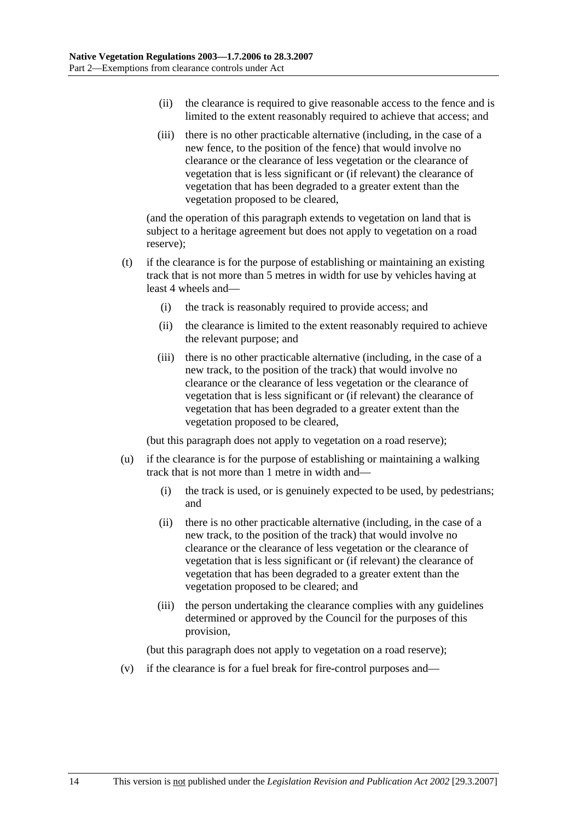- (ii) the clearance is required to give reasonable access to the fence and is limited to the extent reasonably required to achieve that access; and
- (iii) there is no other practicable alternative (including, in the case of a new fence, to the position of the fence) that would involve no clearance or the clearance of less vegetation or the clearance of vegetation that is less significant or (if relevant) the clearance of vegetation that has been degraded to a greater extent than the vegetation proposed to be cleared,

(and the operation of this paragraph extends to vegetation on land that is subject to a heritage agreement but does not apply to vegetation on a road reserve);

- (t) if the clearance is for the purpose of establishing or maintaining an existing track that is not more than 5 metres in width for use by vehicles having at least 4 wheels and—
	- (i) the track is reasonably required to provide access; and
	- (ii) the clearance is limited to the extent reasonably required to achieve the relevant purpose; and
	- (iii) there is no other practicable alternative (including, in the case of a new track, to the position of the track) that would involve no clearance or the clearance of less vegetation or the clearance of vegetation that is less significant or (if relevant) the clearance of vegetation that has been degraded to a greater extent than the vegetation proposed to be cleared,

(but this paragraph does not apply to vegetation on a road reserve);

- (u) if the clearance is for the purpose of establishing or maintaining a walking track that is not more than 1 metre in width and—
	- (i) the track is used, or is genuinely expected to be used, by pedestrians; and
	- (ii) there is no other practicable alternative (including, in the case of a new track, to the position of the track) that would involve no clearance or the clearance of less vegetation or the clearance of vegetation that is less significant or (if relevant) the clearance of vegetation that has been degraded to a greater extent than the vegetation proposed to be cleared; and
	- (iii) the person undertaking the clearance complies with any guidelines determined or approved by the Council for the purposes of this provision,

(but this paragraph does not apply to vegetation on a road reserve);

(v) if the clearance is for a fuel break for fire-control purposes and—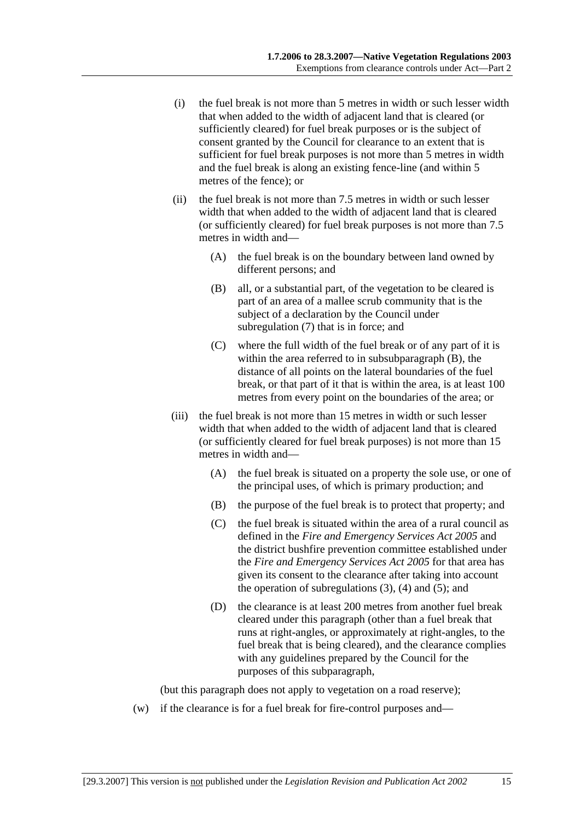- (i) the fuel break is not more than 5 metres in width or such lesser width that when added to the width of adjacent land that is cleared (or sufficiently cleared) for fuel break purposes or is the subject of consent granted by the Council for clearance to an extent that is sufficient for fuel break purposes is not more than 5 metres in width and the fuel break is along an existing fence-line (and within 5 metres of the fence); or
- (ii) the fuel break is not more than 7.5 metres in width or such lesser width that when added to the width of adjacent land that is cleared (or sufficiently cleared) for fuel break purposes is not more than 7.5 metres in width and—
	- (A) the fuel break is on the boundary between land owned by different persons; and
	- (B) all, or a substantial part, of the vegetation to be cleared is part of an area of a mallee scrub community that is the subject of a declaration by the Council under subregulation (7) that is in force; and
	- (C) where the full width of the fuel break or of any part of it is within the area referred to in subsubparagraph (B), the distance of all points on the lateral boundaries of the fuel break, or that part of it that is within the area, is at least 100 metres from every point on the boundaries of the area; or
- (iii) the fuel break is not more than 15 metres in width or such lesser width that when added to the width of adjacent land that is cleared (or sufficiently cleared for fuel break purposes) is not more than 15 metres in width and—
	- (A) the fuel break is situated on a property the sole use, or one of the principal uses, of which is primary production; and
	- (B) the purpose of the fuel break is to protect that property; and
	- (C) the fuel break is situated within the area of a rural council as defined in the *Fire and Emergency Services Act 2005* and the district bushfire prevention committee established under the *Fire and Emergency Services Act 2005* for that area has given its consent to the clearance after taking into account the operation of subregulations  $(3)$ ,  $(4)$  and  $(5)$ ; and
	- (D) the clearance is at least 200 metres from another fuel break cleared under this paragraph (other than a fuel break that runs at right-angles, or approximately at right-angles, to the fuel break that is being cleared), and the clearance complies with any guidelines prepared by the Council for the purposes of this subparagraph,

(but this paragraph does not apply to vegetation on a road reserve);

(w) if the clearance is for a fuel break for fire-control purposes and—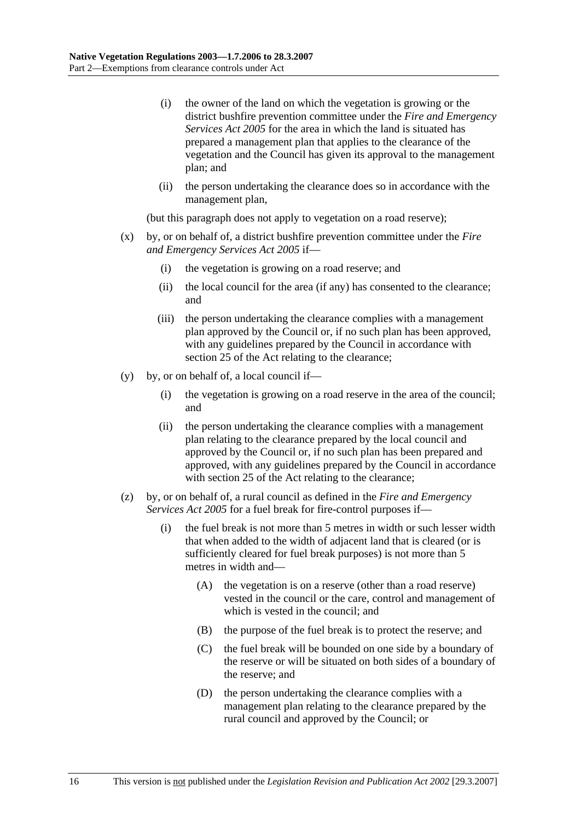- (i) the owner of the land on which the vegetation is growing or the district bushfire prevention committee under the *Fire and Emergency Services Act 2005* for the area in which the land is situated has prepared a management plan that applies to the clearance of the vegetation and the Council has given its approval to the management plan; and
- (ii) the person undertaking the clearance does so in accordance with the management plan,

(but this paragraph does not apply to vegetation on a road reserve);

- (x) by, or on behalf of, a district bushfire prevention committee under the *Fire and Emergency Services Act 2005* if—
	- (i) the vegetation is growing on a road reserve; and
	- (ii) the local council for the area (if any) has consented to the clearance; and
	- (iii) the person undertaking the clearance complies with a management plan approved by the Council or, if no such plan has been approved, with any guidelines prepared by the Council in accordance with section 25 of the Act relating to the clearance;
- (y) by, or on behalf of, a local council if—
	- (i) the vegetation is growing on a road reserve in the area of the council; and
	- (ii) the person undertaking the clearance complies with a management plan relating to the clearance prepared by the local council and approved by the Council or, if no such plan has been prepared and approved, with any guidelines prepared by the Council in accordance with section 25 of the Act relating to the clearance;
- (z) by, or on behalf of, a rural council as defined in the *Fire and Emergency Services Act 2005* for a fuel break for fire-control purposes if—
	- (i) the fuel break is not more than 5 metres in width or such lesser width that when added to the width of adjacent land that is cleared (or is sufficiently cleared for fuel break purposes) is not more than 5 metres in width and—
		- (A) the vegetation is on a reserve (other than a road reserve) vested in the council or the care, control and management of which is vested in the council; and
		- (B) the purpose of the fuel break is to protect the reserve; and
		- (C) the fuel break will be bounded on one side by a boundary of the reserve or will be situated on both sides of a boundary of the reserve; and
		- (D) the person undertaking the clearance complies with a management plan relating to the clearance prepared by the rural council and approved by the Council; or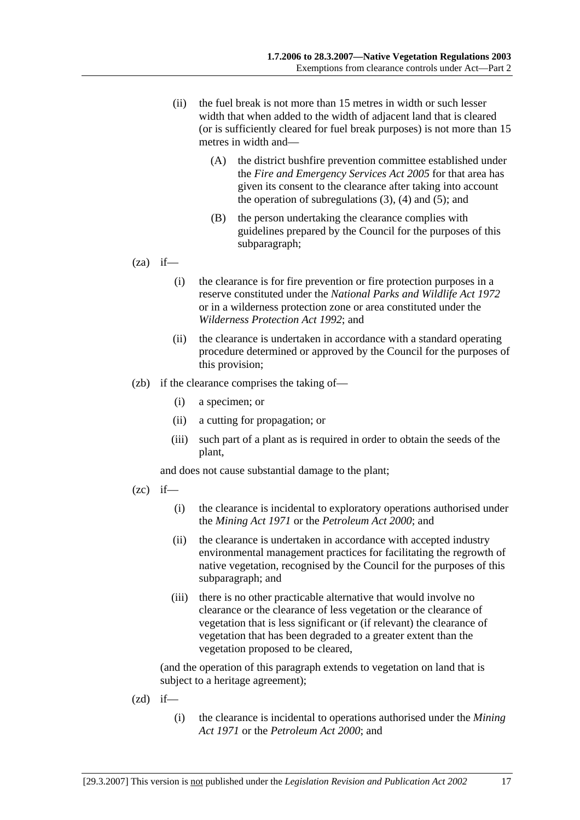- (ii) the fuel break is not more than 15 metres in width or such lesser width that when added to the width of adjacent land that is cleared (or is sufficiently cleared for fuel break purposes) is not more than 15 metres in width and—
	- (A) the district bushfire prevention committee established under the *Fire and Emergency Services Act 2005* for that area has given its consent to the clearance after taking into account the operation of subregulations  $(3)$ ,  $(4)$  and  $(5)$ ; and
	- (B) the person undertaking the clearance complies with guidelines prepared by the Council for the purposes of this subparagraph;
- $(za)$  if—
	- (i) the clearance is for fire prevention or fire protection purposes in a reserve constituted under the *National Parks and Wildlife Act 1972* or in a wilderness protection zone or area constituted under the *Wilderness Protection Act 1992*; and
	- (ii) the clearance is undertaken in accordance with a standard operating procedure determined or approved by the Council for the purposes of this provision;
- (zb) if the clearance comprises the taking of—
	- (i) a specimen; or
	- (ii) a cutting for propagation; or
	- (iii) such part of a plant as is required in order to obtain the seeds of the plant,

and does not cause substantial damage to the plant;

- $(zc)$  if—
	- (i) the clearance is incidental to exploratory operations authorised under the *Mining Act 1971* or the *Petroleum Act 2000*; and
	- (ii) the clearance is undertaken in accordance with accepted industry environmental management practices for facilitating the regrowth of native vegetation, recognised by the Council for the purposes of this subparagraph; and
	- (iii) there is no other practicable alternative that would involve no clearance or the clearance of less vegetation or the clearance of vegetation that is less significant or (if relevant) the clearance of vegetation that has been degraded to a greater extent than the vegetation proposed to be cleared,

- $(zd)$  if—
	- (i) the clearance is incidental to operations authorised under the *Mining Act 1971* or the *Petroleum Act 2000*; and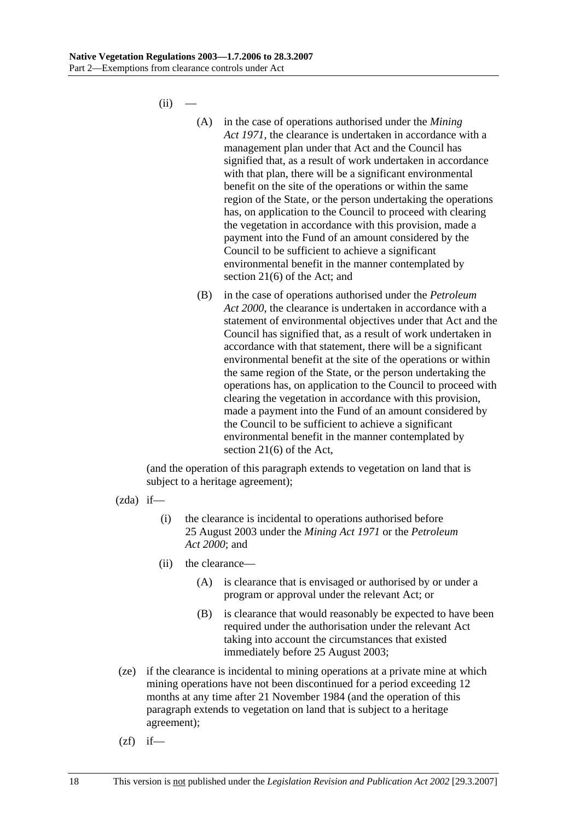$(ii)$ 

- (A) in the case of operations authorised under the *Mining Act 1971*, the clearance is undertaken in accordance with a management plan under that Act and the Council has signified that, as a result of work undertaken in accordance with that plan, there will be a significant environmental benefit on the site of the operations or within the same region of the State, or the person undertaking the operations has, on application to the Council to proceed with clearing the vegetation in accordance with this provision, made a payment into the Fund of an amount considered by the Council to be sufficient to achieve a significant environmental benefit in the manner contemplated by section 21(6) of the Act; and
- (B) in the case of operations authorised under the *Petroleum Act 2000*, the clearance is undertaken in accordance with a statement of environmental objectives under that Act and the Council has signified that, as a result of work undertaken in accordance with that statement, there will be a significant environmental benefit at the site of the operations or within the same region of the State, or the person undertaking the operations has, on application to the Council to proceed with clearing the vegetation in accordance with this provision, made a payment into the Fund of an amount considered by the Council to be sufficient to achieve a significant environmental benefit in the manner contemplated by section 21(6) of the Act,

- $(zda)$  if—
	- (i) the clearance is incidental to operations authorised before 25 August 2003 under the *Mining Act 1971* or the *Petroleum Act 2000*; and
	- (ii) the clearance—
		- (A) is clearance that is envisaged or authorised by or under a program or approval under the relevant Act; or
		- (B) is clearance that would reasonably be expected to have been required under the authorisation under the relevant Act taking into account the circumstances that existed immediately before 25 August 2003;
- (ze) if the clearance is incidental to mining operations at a private mine at which mining operations have not been discontinued for a period exceeding 12 months at any time after 21 November 1984 (and the operation of this paragraph extends to vegetation on land that is subject to a heritage agreement);
- $(zf)$  if—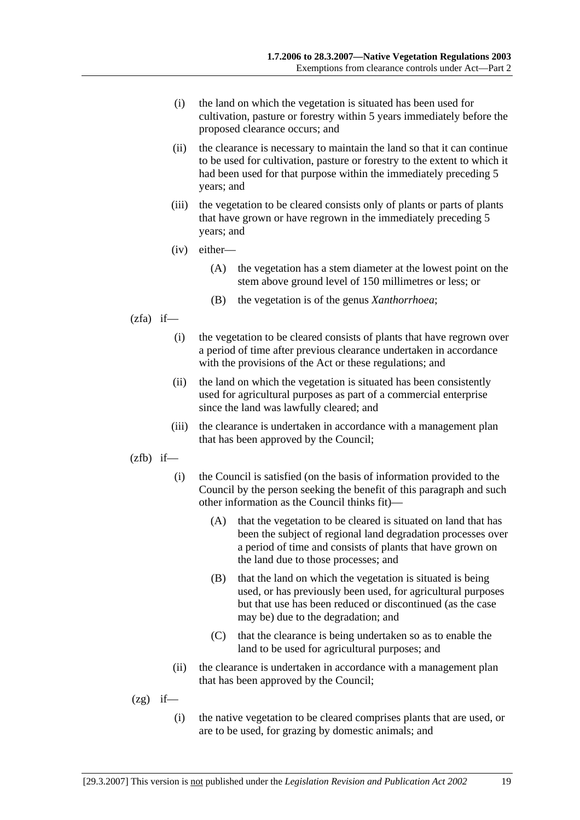- (i) the land on which the vegetation is situated has been used for cultivation, pasture or forestry within 5 years immediately before the proposed clearance occurs; and
- (ii) the clearance is necessary to maintain the land so that it can continue to be used for cultivation, pasture or forestry to the extent to which it had been used for that purpose within the immediately preceding 5 years; and
- (iii) the vegetation to be cleared consists only of plants or parts of plants that have grown or have regrown in the immediately preceding 5 years; and
- (iv) either—
	- (A) the vegetation has a stem diameter at the lowest point on the stem above ground level of 150 millimetres or less; or
	- (B) the vegetation is of the genus *Xanthorrhoea*;
- $(zfa)$  if—
	- (i) the vegetation to be cleared consists of plants that have regrown over a period of time after previous clearance undertaken in accordance with the provisions of the Act or these regulations; and
	- (ii) the land on which the vegetation is situated has been consistently used for agricultural purposes as part of a commercial enterprise since the land was lawfully cleared; and
	- (iii) the clearance is undertaken in accordance with a management plan that has been approved by the Council;
- $(zfb)$  if—
	- (i) the Council is satisfied (on the basis of information provided to the Council by the person seeking the benefit of this paragraph and such other information as the Council thinks fit)—
		- (A) that the vegetation to be cleared is situated on land that has been the subject of regional land degradation processes over a period of time and consists of plants that have grown on the land due to those processes; and
		- (B) that the land on which the vegetation is situated is being used, or has previously been used, for agricultural purposes but that use has been reduced or discontinued (as the case may be) due to the degradation; and
		- (C) that the clearance is being undertaken so as to enable the land to be used for agricultural purposes; and
	- (ii) the clearance is undertaken in accordance with a management plan that has been approved by the Council;
- $(2g)$  if—
	- (i) the native vegetation to be cleared comprises plants that are used, or are to be used, for grazing by domestic animals; and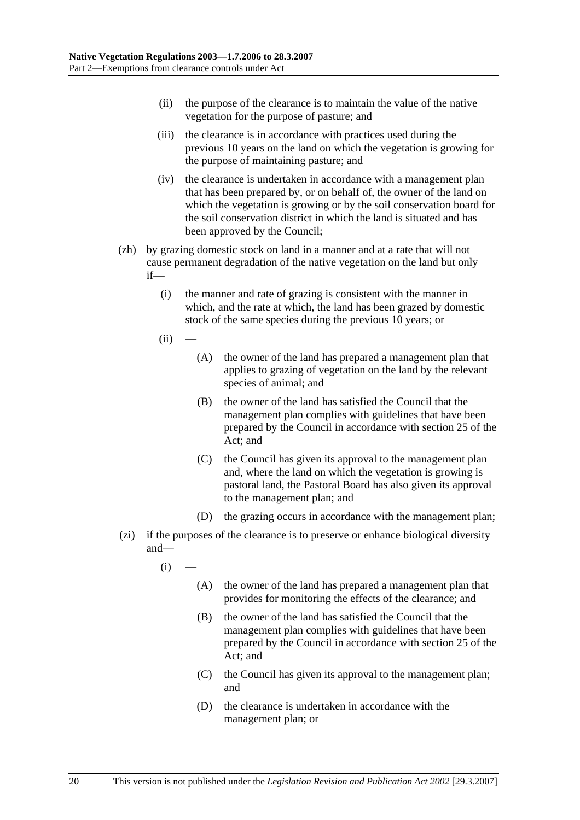- (ii) the purpose of the clearance is to maintain the value of the native vegetation for the purpose of pasture; and
- (iii) the clearance is in accordance with practices used during the previous 10 years on the land on which the vegetation is growing for the purpose of maintaining pasture; and
- (iv) the clearance is undertaken in accordance with a management plan that has been prepared by, or on behalf of, the owner of the land on which the vegetation is growing or by the soil conservation board for the soil conservation district in which the land is situated and has been approved by the Council;
- (zh) by grazing domestic stock on land in a manner and at a rate that will not cause permanent degradation of the native vegetation on the land but only if—
	- (i) the manner and rate of grazing is consistent with the manner in which, and the rate at which, the land has been grazed by domestic stock of the same species during the previous 10 years; or
	- $(ii)$
- (A) the owner of the land has prepared a management plan that applies to grazing of vegetation on the land by the relevant species of animal; and
- (B) the owner of the land has satisfied the Council that the management plan complies with guidelines that have been prepared by the Council in accordance with section 25 of the Act; and
- (C) the Council has given its approval to the management plan and, where the land on which the vegetation is growing is pastoral land, the Pastoral Board has also given its approval to the management plan; and
- (D) the grazing occurs in accordance with the management plan;
- (zi) if the purposes of the clearance is to preserve or enhance biological diversity and—
	- $(i)$ 
		- (A) the owner of the land has prepared a management plan that provides for monitoring the effects of the clearance; and
		- (B) the owner of the land has satisfied the Council that the management plan complies with guidelines that have been prepared by the Council in accordance with section 25 of the Act; and
		- (C) the Council has given its approval to the management plan; and
		- (D) the clearance is undertaken in accordance with the management plan; or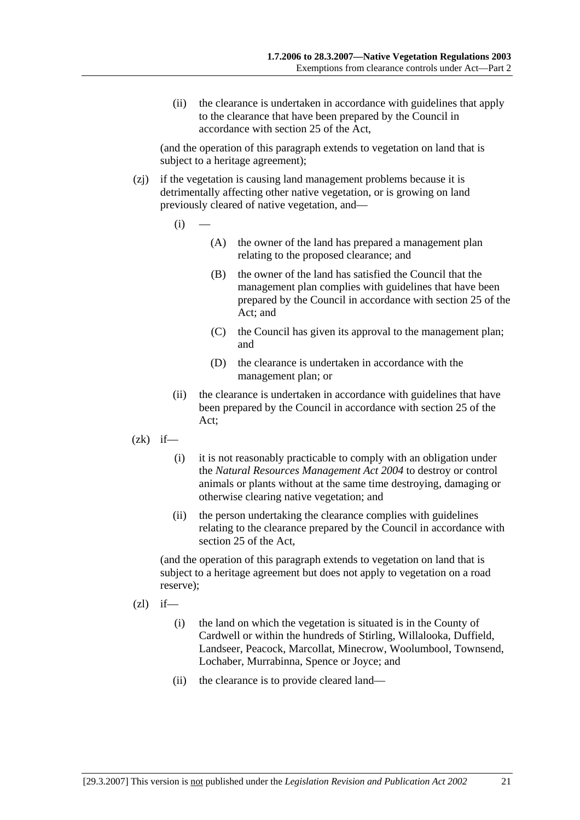(ii) the clearance is undertaken in accordance with guidelines that apply to the clearance that have been prepared by the Council in accordance with section 25 of the Act,

(and the operation of this paragraph extends to vegetation on land that is subject to a heritage agreement);

- (zj) if the vegetation is causing land management problems because it is detrimentally affecting other native vegetation, or is growing on land previously cleared of native vegetation, and—
	- $(i)$ 
		- (A) the owner of the land has prepared a management plan relating to the proposed clearance; and
		- (B) the owner of the land has satisfied the Council that the management plan complies with guidelines that have been prepared by the Council in accordance with section 25 of the Act; and
		- (C) the Council has given its approval to the management plan; and
		- (D) the clearance is undertaken in accordance with the management plan; or
	- (ii) the clearance is undertaken in accordance with guidelines that have been prepared by the Council in accordance with section 25 of the Act;
- $(zk)$  if—
	- (i) it is not reasonably practicable to comply with an obligation under the *Natural Resources Management Act 2004* to destroy or control animals or plants without at the same time destroying, damaging or otherwise clearing native vegetation; and
	- (ii) the person undertaking the clearance complies with guidelines relating to the clearance prepared by the Council in accordance with section 25 of the Act,

(and the operation of this paragraph extends to vegetation on land that is subject to a heritage agreement but does not apply to vegetation on a road reserve);

- $(zl)$  if—
	- (i) the land on which the vegetation is situated is in the County of Cardwell or within the hundreds of Stirling, Willalooka, Duffield, Landseer, Peacock, Marcollat, Minecrow, Woolumbool, Townsend, Lochaber, Murrabinna, Spence or Joyce; and
	- (ii) the clearance is to provide cleared land—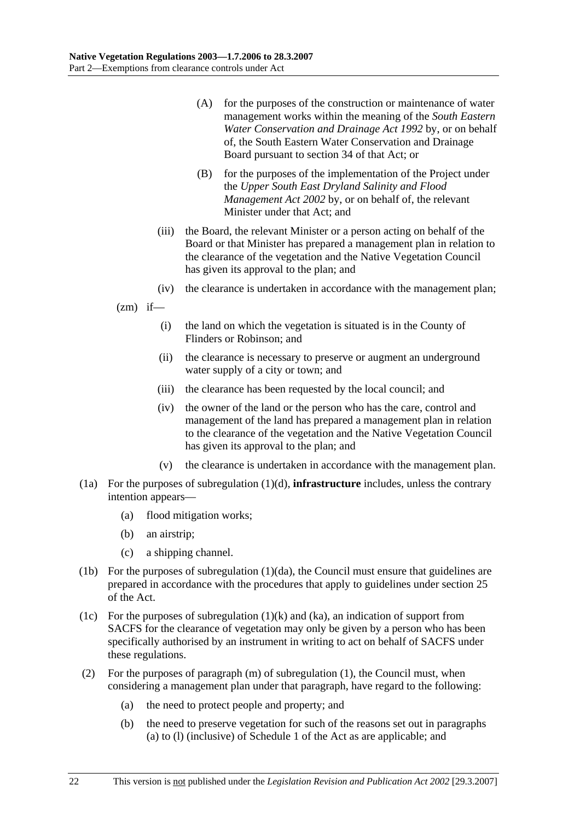- (A) for the purposes of the construction or maintenance of water management works within the meaning of the *South Eastern Water Conservation and Drainage Act 1992* by, or on behalf of, the South Eastern Water Conservation and Drainage Board pursuant to section 34 of that Act; or
- (B) for the purposes of the implementation of the Project under the *Upper South East Dryland Salinity and Flood Management Act 2002* by, or on behalf of, the relevant Minister under that Act; and
- (iii) the Board, the relevant Minister or a person acting on behalf of the Board or that Minister has prepared a management plan in relation to the clearance of the vegetation and the Native Vegetation Council has given its approval to the plan; and
- (iv) the clearance is undertaken in accordance with the management plan;

 $(zm)$  if—

- (i) the land on which the vegetation is situated is in the County of Flinders or Robinson; and
- (ii) the clearance is necessary to preserve or augment an underground water supply of a city or town; and
- (iii) the clearance has been requested by the local council; and
- (iv) the owner of the land or the person who has the care, control and management of the land has prepared a management plan in relation to the clearance of the vegetation and the Native Vegetation Council has given its approval to the plan; and
- (v) the clearance is undertaken in accordance with the management plan.
- (1a) For the purposes of subregulation (1)(d), **infrastructure** includes, unless the contrary intention appears—
	- (a) flood mitigation works;
	- (b) an airstrip;
	- (c) a shipping channel.
- (1b) For the purposes of subregulation (1)(da), the Council must ensure that guidelines are prepared in accordance with the procedures that apply to guidelines under section 25 of the Act.
- (1c) For the purposes of subregulation  $(1)(k)$  and  $(ka)$ , an indication of support from SACFS for the clearance of vegetation may only be given by a person who has been specifically authorised by an instrument in writing to act on behalf of SACFS under these regulations.
- (2) For the purposes of paragraph (m) of subregulation (1), the Council must, when considering a management plan under that paragraph, have regard to the following:
	- (a) the need to protect people and property; and
	- (b) the need to preserve vegetation for such of the reasons set out in paragraphs (a) to (l) (inclusive) of Schedule 1 of the Act as are applicable; and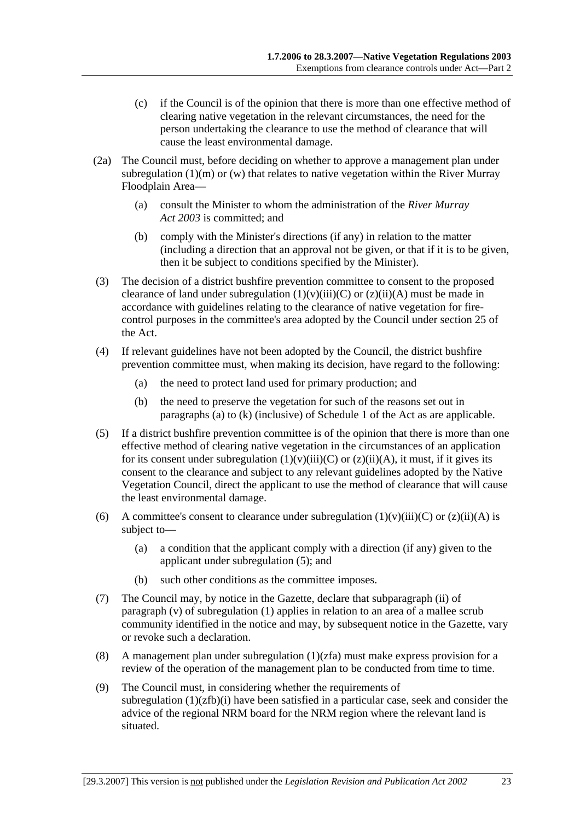- (c) if the Council is of the opinion that there is more than one effective method of clearing native vegetation in the relevant circumstances, the need for the person undertaking the clearance to use the method of clearance that will cause the least environmental damage.
- (2a) The Council must, before deciding on whether to approve a management plan under subregulation  $(1)(m)$  or  $(w)$  that relates to native vegetation within the River Murray Floodplain Area—
	- (a) consult the Minister to whom the administration of the *River Murray Act 2003* is committed; and
	- (b) comply with the Minister's directions (if any) in relation to the matter (including a direction that an approval not be given, or that if it is to be given, then it be subject to conditions specified by the Minister).
- (3) The decision of a district bushfire prevention committee to consent to the proposed clearance of land under subregulation  $(1)(v)(iii)(C)$  or  $(z)(ii)(A)$  must be made in accordance with guidelines relating to the clearance of native vegetation for firecontrol purposes in the committee's area adopted by the Council under section 25 of the Act.
- (4) If relevant guidelines have not been adopted by the Council, the district bushfire prevention committee must, when making its decision, have regard to the following:
	- (a) the need to protect land used for primary production; and
	- (b) the need to preserve the vegetation for such of the reasons set out in paragraphs (a) to (k) (inclusive) of Schedule 1 of the Act as are applicable.
- (5) If a district bushfire prevention committee is of the opinion that there is more than one effective method of clearing native vegetation in the circumstances of an application for its consent under subregulation  $(1)(v)(iii)(C)$  or  $(z)(ii)(A)$ , it must, if it gives its consent to the clearance and subject to any relevant guidelines adopted by the Native Vegetation Council, direct the applicant to use the method of clearance that will cause the least environmental damage.
- (6) A committee's consent to clearance under subregulation  $(1)(v)(iii)(C)$  or  $(z)(ii)(A)$  is subject to—
	- (a) a condition that the applicant comply with a direction (if any) given to the applicant under subregulation (5); and
	- (b) such other conditions as the committee imposes.
- (7) The Council may, by notice in the Gazette, declare that subparagraph (ii) of paragraph (v) of subregulation (1) applies in relation to an area of a mallee scrub community identified in the notice and may, by subsequent notice in the Gazette, vary or revoke such a declaration.
- (8) A management plan under subregulation  $(1)(zfa)$  must make express provision for a review of the operation of the management plan to be conducted from time to time.
- (9) The Council must, in considering whether the requirements of subregulation  $(1)(zfb)(i)$  have been satisfied in a particular case, seek and consider the advice of the regional NRM board for the NRM region where the relevant land is situated.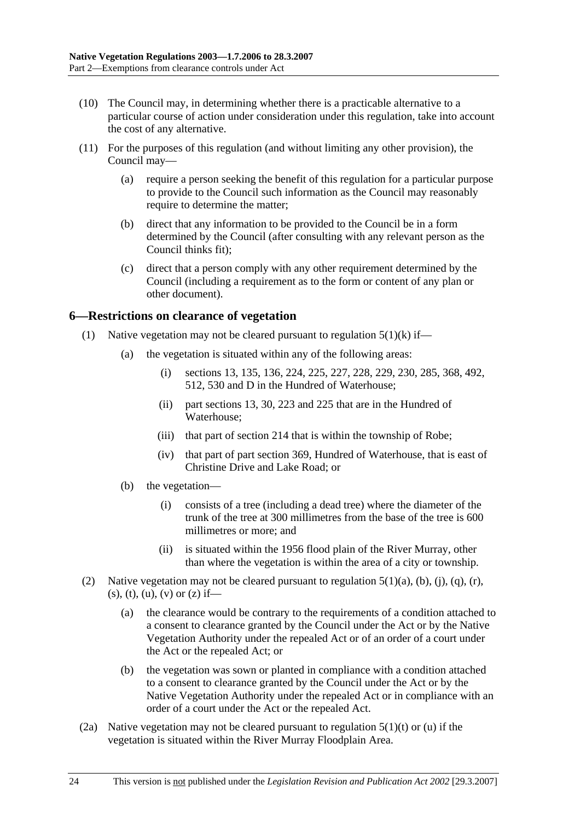- (10) The Council may, in determining whether there is a practicable alternative to a particular course of action under consideration under this regulation, take into account the cost of any alternative.
- (11) For the purposes of this regulation (and without limiting any other provision), the Council may—
	- (a) require a person seeking the benefit of this regulation for a particular purpose to provide to the Council such information as the Council may reasonably require to determine the matter;
	- (b) direct that any information to be provided to the Council be in a form determined by the Council (after consulting with any relevant person as the Council thinks fit);
	- (c) direct that a person comply with any other requirement determined by the Council (including a requirement as to the form or content of any plan or other document).

#### **6—Restrictions on clearance of vegetation**

- (1) Native vegetation may not be cleared pursuant to regulation  $5(1)(k)$  if—
	- (a) the vegetation is situated within any of the following areas:
		- (i) sections 13, 135, 136, 224, 225, 227, 228, 229, 230, 285, 368, 492, 512, 530 and D in the Hundred of Waterhouse;
		- (ii) part sections 13, 30, 223 and 225 that are in the Hundred of Waterhouse;
		- (iii) that part of section 214 that is within the township of Robe;
		- (iv) that part of part section 369, Hundred of Waterhouse, that is east of Christine Drive and Lake Road; or
	- (b) the vegetation—
		- (i) consists of a tree (including a dead tree) where the diameter of the trunk of the tree at 300 millimetres from the base of the tree is 600 millimetres or more; and
		- (ii) is situated within the 1956 flood plain of the River Murray, other than where the vegetation is within the area of a city or township.
- (2) Native vegetation may not be cleared pursuant to regulation  $5(1)(a)$ ,  $(b)$ ,  $(i)$ ,  $(q)$ ,  $(r)$ ,  $(s)$ ,  $(t)$ ,  $(u)$ ,  $(v)$  or  $(z)$  if—
	- (a) the clearance would be contrary to the requirements of a condition attached to a consent to clearance granted by the Council under the Act or by the Native Vegetation Authority under the repealed Act or of an order of a court under the Act or the repealed Act; or
	- (b) the vegetation was sown or planted in compliance with a condition attached to a consent to clearance granted by the Council under the Act or by the Native Vegetation Authority under the repealed Act or in compliance with an order of a court under the Act or the repealed Act.
- (2a) Native vegetation may not be cleared pursuant to regulation  $5(1)(t)$  or (u) if the vegetation is situated within the River Murray Floodplain Area.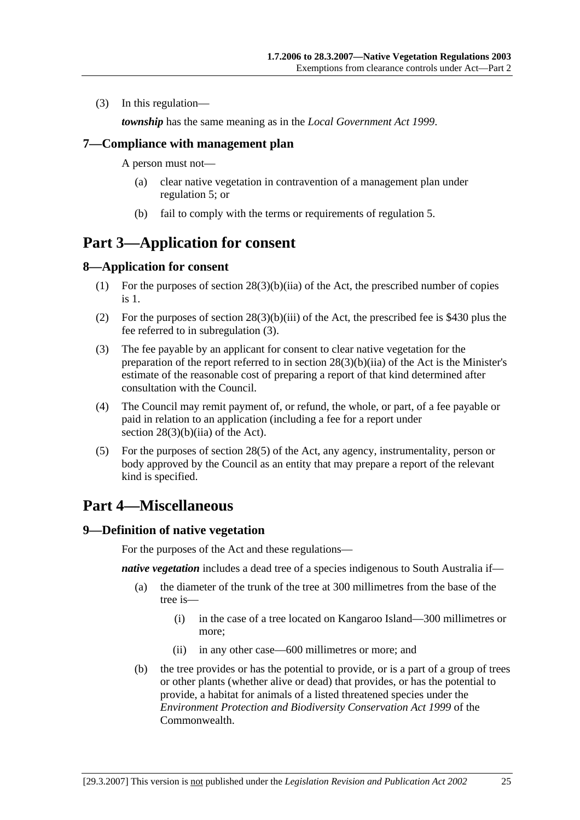(3) In this regulation—

*township* has the same meaning as in the *Local Government Act 1999*.

#### **7—Compliance with management plan**

A person must not—

- (a) clear native vegetation in contravention of a management plan under regulation 5; or
- (b) fail to comply with the terms or requirements of regulation 5.

## **Part 3—Application for consent**

#### **8—Application for consent**

- (1) For the purposes of section 28(3)(b)(iia) of the Act, the prescribed number of copies is 1.
- (2) For the purposes of section 28(3)(b)(iii) of the Act, the prescribed fee is \$430 plus the fee referred to in subregulation (3).
- (3) The fee payable by an applicant for consent to clear native vegetation for the preparation of the report referred to in section 28(3)(b)(iia) of the Act is the Minister's estimate of the reasonable cost of preparing a report of that kind determined after consultation with the Council.
- (4) The Council may remit payment of, or refund, the whole, or part, of a fee payable or paid in relation to an application (including a fee for a report under section 28(3)(b)(iia) of the Act).
- (5) For the purposes of section 28(5) of the Act, any agency, instrumentality, person or body approved by the Council as an entity that may prepare a report of the relevant kind is specified.

# **Part 4—Miscellaneous**

#### **9—Definition of native vegetation**

For the purposes of the Act and these regulations—

*native vegetation* includes a dead tree of a species indigenous to South Australia if—

- (a) the diameter of the trunk of the tree at 300 millimetres from the base of the tree is—
	- (i) in the case of a tree located on Kangaroo Island—300 millimetres or more;
	- (ii) in any other case—600 millimetres or more; and
- (b) the tree provides or has the potential to provide, or is a part of a group of trees or other plants (whether alive or dead) that provides, or has the potential to provide, a habitat for animals of a listed threatened species under the *Environment Protection and Biodiversity Conservation Act 1999* of the **Commonwealth**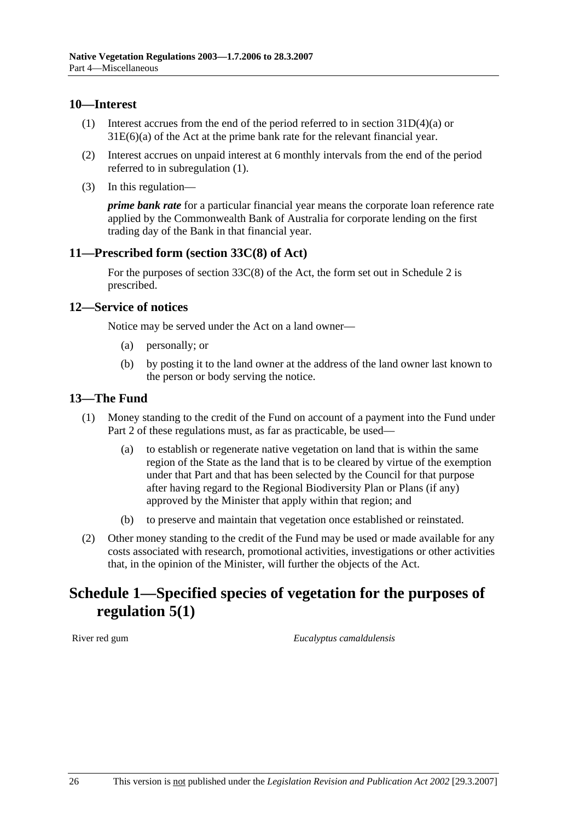#### **10—Interest**

- (1) Interest accrues from the end of the period referred to in section 31D(4)(a) or 31E(6)(a) of the Act at the prime bank rate for the relevant financial year.
- (2) Interest accrues on unpaid interest at 6 monthly intervals from the end of the period referred to in subregulation (1).
- (3) In this regulation—

*prime bank rate* for a particular financial year means the corporate loan reference rate applied by the Commonwealth Bank of Australia for corporate lending on the first trading day of the Bank in that financial year.

### **11—Prescribed form (section 33C(8) of Act)**

For the purposes of section  $33C(8)$  of the Act, the form set out in Schedule 2 is prescribed.

#### **12—Service of notices**

Notice may be served under the Act on a land owner—

- (a) personally; or
- (b) by posting it to the land owner at the address of the land owner last known to the person or body serving the notice.

### **13—The Fund**

- (1) Money standing to the credit of the Fund on account of a payment into the Fund under Part 2 of these regulations must, as far as practicable, be used—
	- (a) to establish or regenerate native vegetation on land that is within the same region of the State as the land that is to be cleared by virtue of the exemption under that Part and that has been selected by the Council for that purpose after having regard to the Regional Biodiversity Plan or Plans (if any) approved by the Minister that apply within that region; and
	- (b) to preserve and maintain that vegetation once established or reinstated.
- (2) Other money standing to the credit of the Fund may be used or made available for any costs associated with research, promotional activities, investigations or other activities that, in the opinion of the Minister, will further the objects of the Act.

## **Schedule 1—Specified species of vegetation for the purposes of regulation 5(1)**

River red gum *Eucalyptus camaldulensis*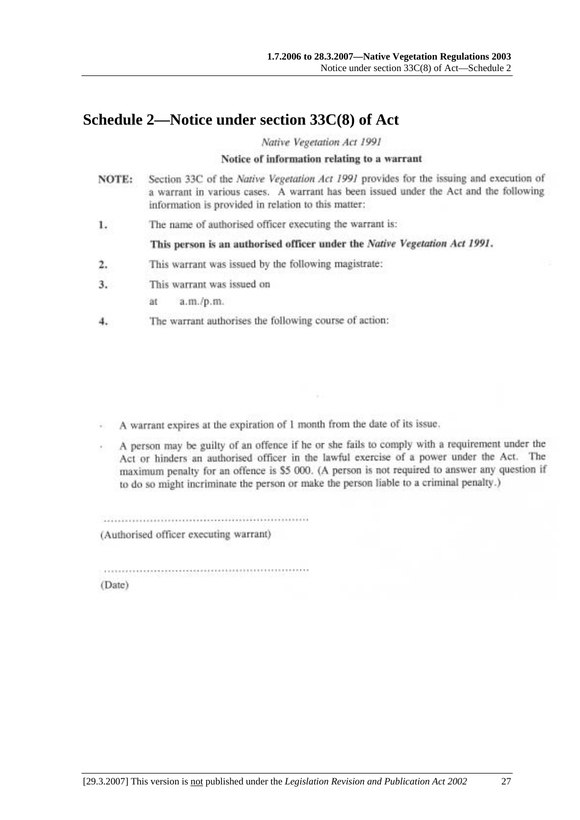# **Schedule 2—Notice under section 33C(8) of Act**

Native Vegetation Act 1991

#### Notice of information relating to a warrant

- Section 33C of the Native Vegetation Act 1991 provides for the issuing and execution of NOTE: a warrant in various cases. A warrant has been issued under the Act and the following information is provided in relation to this matter:
- The name of authorised officer executing the warrant is: 1.

This person is an authorised officer under the Native Vegetation Act 1991.

- This warrant was issued by the following magistrate: 2.
- This warrant was issued on 3.

 $a.m./p.m.$ ät

The warrant authorises the following course of action: 4.

A warrant expires at the expiration of 1 month from the date of its issue.

A person may be guilty of an offence if he or she fails to comply with a requirement under the Act or hinders an authorised officer in the lawful exercise of a power under the Act. The maximum penalty for an offence is \$5 000. (A person is not required to answer any question if to do so might incriminate the person or make the person liable to a criminal penalty.)

(Authorised officer executing warrant)

(Date)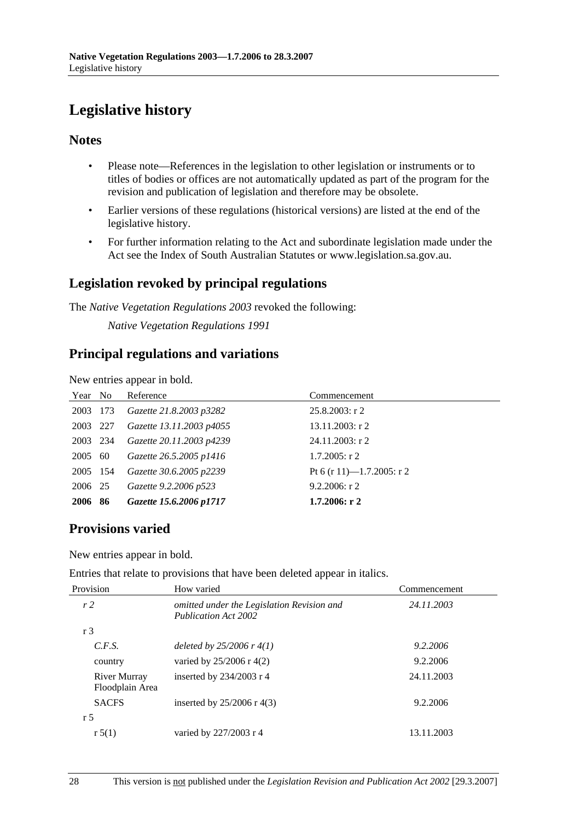# **Legislative history**

### **Notes**

- Please note—References in the legislation to other legislation or instruments or to titles of bodies or offices are not automatically updated as part of the program for the revision and publication of legislation and therefore may be obsolete.
- Earlier versions of these regulations (historical versions) are listed at the end of the legislative history.
- For further information relating to the Act and subordinate legislation made under the Act see the Index of South Australian Statutes or www.legislation.sa.gov.au.

## **Legislation revoked by principal regulations**

The *Native Vegetation Regulations 2003* revoked the following:

*Native Vegetation Regulations 1991*

## **Principal regulations and variations**

New entries appear in bold.

| Year No  |     | Reference                | Commencement              |
|----------|-----|--------------------------|---------------------------|
| 2003     | 173 | Gazette 21.8.2003 p3282  | $25.8.2003$ : r 2         |
| 2003 227 |     | Gazette 13.11.2003 p4055 | $13.11.2003$ : r 2        |
| 2003 234 |     | Gazette 20.11.2003 p4239 | $24.11.2003$ : r 2        |
| 2005 60  |     | Gazette 26.5.2005 p1416  | $1.7.2005$ : r 2          |
| 2005 154 |     | Gazette 30.6.2005 p2239  | Pt 6 (r 11)-1.7.2005: r 2 |
| 2006 25  |     | Gazette 9.2.2006 p523    | $9.2.2006$ : r 2          |
| 2006     | -86 | Gazette 15.6.2006 p1717  | $1.7.2006:$ r 2           |

## **Provisions varied**

New entries appear in bold.

Entries that relate to provisions that have been deleted appear in italics.

| Provision                       | How varied                                                                | Commencement<br>24.11.2003 |  |
|---------------------------------|---------------------------------------------------------------------------|----------------------------|--|
| r <sub>2</sub>                  | omitted under the Legislation Revision and<br><b>Publication Act 2002</b> |                            |  |
| r <sub>3</sub>                  |                                                                           |                            |  |
| C.F.S.                          | deleted by $25/2006$ r 4(1)                                               | 9.2.2006                   |  |
| country                         | varied by $25/2006$ r 4(2)                                                | 9.2.2006                   |  |
| River Murray<br>Floodplain Area | inserted by $234/2003$ r 4                                                | 24.11.2003                 |  |
| <b>SACFS</b>                    | inserted by $25/2006$ r 4(3)                                              | 9.2.2006                   |  |
| r 5                             |                                                                           |                            |  |
| r 5(1)                          | varied by 227/2003 r 4                                                    | 13.11.2003                 |  |